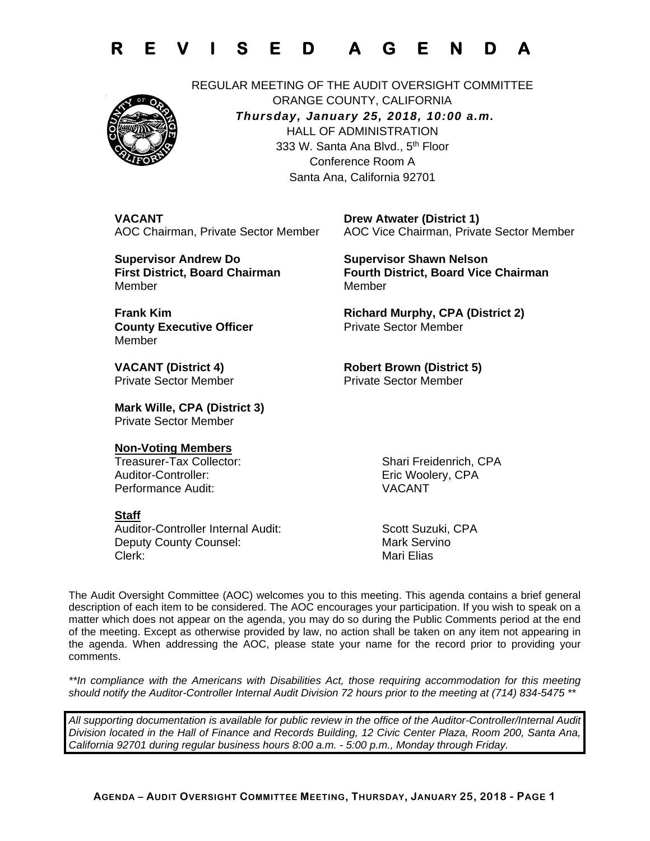



REGULAR MEETING OF THE AUDIT OVERSIGHT COMMITTEE ORANGE COUNTY, CALIFORNIA *Thursday, January 25, 2018, 10:00 a.m.* HALL OF ADMINISTRATION 333 W. Santa Ana Blvd., 5<sup>th</sup> Floor Conference Room A Santa Ana, California 92701

**VACANT** Drew Atwater (District 1)

AOC Chairman, Private Sector Member AOC Vice Chairman, Private Sector Member

 **Supervisor Andrew Do Supervisor Shawn Nelson** MemberMember

**First District, Board Chairman Fourth District, Board Vice Chairman** 

 **Frank Kim Richard Murphy, CPA (District 2) County Executive Officer Private Sector Member** 

**Private Sector Member** 

Member

**VACANT (District 4)** Robert Brown (District 5)<br>
Private Sector Member Private Sector Member

 **Mark Wille, CPA (District 3)** Private Sector Member

### **Non-Voting Members**

Treasurer-Tax Collector: Shari Freidenrich, CPA Auditor-Controller: Eric Woolery, CPA Performance Audit: VACANT

#### **Staff**

Auditor-Controller Internal Audit: Scott Suzuki, CPA Deputy County Counsel: Mark Servino Clerk: Clerk: Annual Clerk: Mari Elias

The Audit Oversight Committee (AOC) welcomes you to this meeting. This agenda contains a brief general description of each item to be considered. The AOC encourages your participation. If you wish to speak on a matter which does not appear on the agenda, you may do so during the Public Comments period at the end of the meeting. Except as otherwise provided by law, no action shall be taken on any item not appearing in the agenda. When addressing the AOC, please state your name for the record prior to providing your comments.

*\*\*In compliance with the Americans with Disabilities Act, those requiring accommodation for this meeting should notify the Auditor-Controller Internal Audit Division 72 hours prior to the meeting at (714) 834-5475 \*\** 

*All supporting documentation is available for public review in the office of the Auditor-Controller/Internal Audit Division located in the Hall of Finance and Records Building, 12 Civic Center Plaza, Room 200, Santa Ana, California 92701 during regular business hours 8:00 a.m. - 5:00 p.m., Monday through Friday.*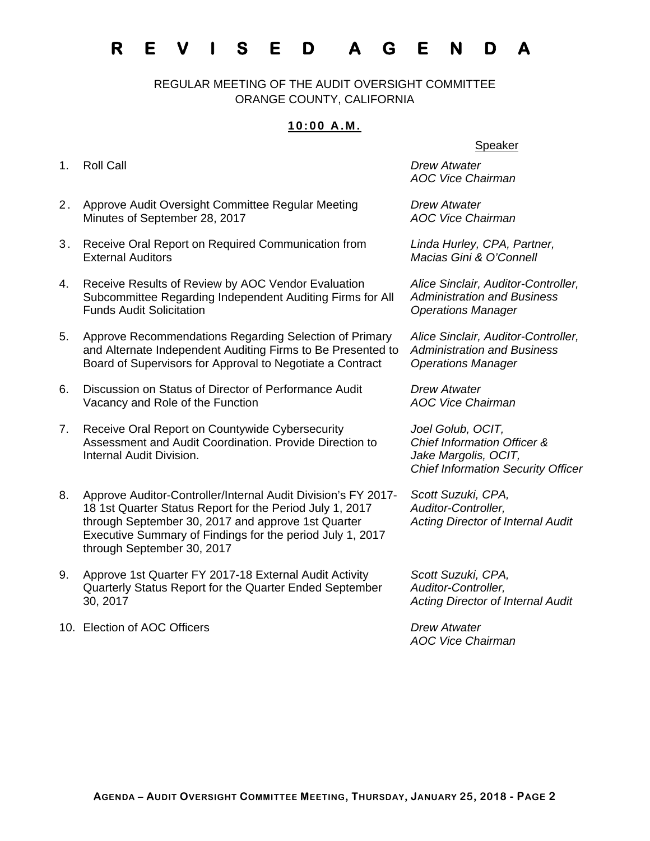# **R E V I S E D A G E N D A**

REGULAR MEETING OF THE AUDIT OVERSIGHT COMMITTEE ORANGE COUNTY, CALIFORNIA

### **10:00 A.M.**

- 
- 2. Approve Audit Oversight Committee Regular Meeting Minutes of September 28, 2017
- 3. Receive Oral Report on Required Communication from External Auditors
- 4. Receive Results of Review by AOC Vendor Evaluation Subcommittee Regarding Independent Auditing Firms for All Funds Audit Solicitation
- 5. Approve Recommendations Regarding Selection of Primary and Alternate Independent Auditing Firms to Be Presented to Board of Supervisors for Approval to Negotiate a Contract
- 6. Discussion on Status of Director of Performance Audit Vacancy and Role of the Function
- 7. Receive Oral Report on Countywide Cybersecurity Assessment and Audit Coordination. Provide Direction to Internal Audit Division.
- 8. Approve Auditor-Controller/Internal Audit Division's FY 2017- 18 1st Quarter Status Report for the Period July 1, 2017 through September 30, 2017 and approve 1st Quarter Executive Summary of Findings for the period July 1, 2017 through September 30, 2017
- 9. Approve 1st Quarter FY 2017-18 External Audit Activity Quarterly Status Report for the Quarter Ended September 30, 2017
- 10. Election of AOC Officers *Drew Atwater*

#### Speaker

1. Roll Call *Drew Atwater AOC Vice Chairman* 

> *Drew Atwater AOC Vice Chairman*

*Linda Hurley, CPA, Partner, Macias Gini & O'Connell* 

*Alice Sinclair, Auditor-Controller, Administration and Business Operations Manager* 

*Alice Sinclair, Auditor-Controller, Administration and Business Operations Manager* 

*Drew Atwater AOC Vice Chairman* 

*Joel Golub, OCIT, Chief Information Officer & Jake Margolis, OCIT, Chief Information Security Officer* 

*Scott Suzuki, CPA, Auditor-Controller, Acting Director of Internal Audit*

*Scott Suzuki, CPA, Auditor-Controller, Acting Director of Internal Audit*

*AOC Vice Chairman*